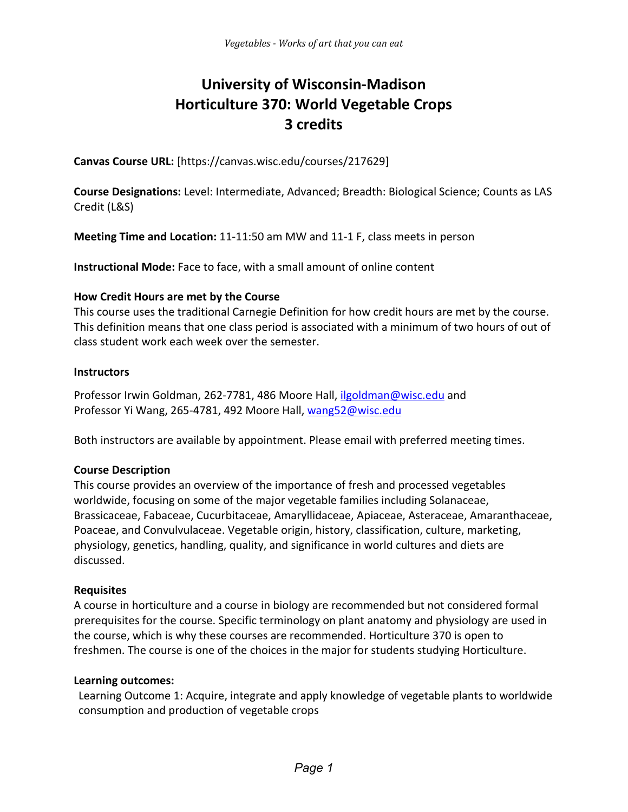# **University of Wisconsin-Madison Horticulture 370: World Vegetable Crops 3 credits**

**Canvas Course URL:** [https://canvas.wisc.edu/courses/217629]

**Course Designations:** Level: Intermediate, Advanced; Breadth: Biological Science; Counts as LAS Credit (L&S)

**Meeting Time and Location:** 11-11:50 am MW and 11-1 F, class meets in person

**Instructional Mode:** Face to face, with a small amount of online content

#### **How Credit Hours are met by the Course**

This course uses the traditional Carnegie Definition for how credit hours are met by the course. This definition means that one class period is associated with a minimum of two hours of out of class student work each week over the semester.

#### **Instructors**

Professor Irwin Goldman, 262-7781, 486 Moore Hall, [ilgoldman@wisc.edu](mailto:ilgoldman@wisc.edu) and Professor Yi Wang, 265-4781, 492 Moore Hall, [wang52@wisc.edu](mailto:wang52@wisc.edu)

Both instructors are available by appointment. Please email with preferred meeting times.

#### **Course Description**

This course provides an overview of the importance of fresh and processed vegetables worldwide, focusing on some of the major vegetable families including Solanaceae, Brassicaceae, Fabaceae, Cucurbitaceae, Amaryllidaceae, Apiaceae, Asteraceae, Amaranthaceae, Poaceae, and Convulvulaceae. Vegetable origin, history, classification, culture, marketing, physiology, genetics, handling, quality, and significance in world cultures and diets are discussed.

#### **Requisites**

A course in horticulture and a course in biology are recommended but not considered formal prerequisites for the course. Specific terminology on plant anatomy and physiology are used in the course, which is why these courses are recommended. Horticulture 370 is open to freshmen. The course is one of the choices in the major for students studying Horticulture.

#### **Learning outcomes:**

Learning Outcome 1: Acquire, integrate and apply knowledge of vegetable plants to worldwide consumption and production of vegetable crops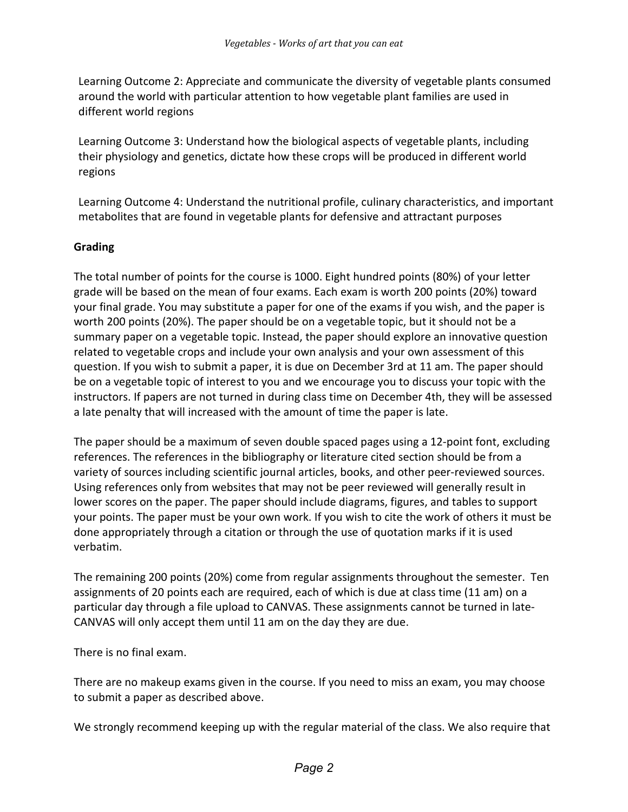Learning Outcome 2: Appreciate and communicate the diversity of vegetable plants consumed around the world with particular attention to how vegetable plant families are used in different world regions

Learning Outcome 3: Understand how the biological aspects of vegetable plants, including their physiology and genetics, dictate how these crops will be produced in different world regions

Learning Outcome 4: Understand the nutritional profile, culinary characteristics, and important metabolites that are found in vegetable plants for defensive and attractant purposes

#### **Grading**

The total number of points for the course is 1000. Eight hundred points (80%) of your letter grade will be based on the mean of four exams. Each exam is worth 200 points (20%) toward your final grade. You may substitute a paper for one of the exams if you wish, and the paper is worth 200 points (20%). The paper should be on a vegetable topic, but it should not be a summary paper on a vegetable topic. Instead, the paper should explore an innovative question related to vegetable crops and include your own analysis and your own assessment of this question. If you wish to submit a paper, it is due on December 3rd at 11 am. The paper should be on a vegetable topic of interest to you and we encourage you to discuss your topic with the instructors. If papers are not turned in during class time on December 4th, they will be assessed a late penalty that will increased with the amount of time the paper is late.

The paper should be a maximum of seven double spaced pages using a 12-point font, excluding references. The references in the bibliography or literature cited section should be from a variety of sources including scientific journal articles, books, and other peer-reviewed sources. Using references only from websites that may not be peer reviewed will generally result in lower scores on the paper. The paper should include diagrams, figures, and tables to support your points. The paper must be your own work. If you wish to cite the work of others it must be done appropriately through a citation or through the use of quotation marks if it is used verbatim.

The remaining 200 points (20%) come from regular assignments throughout the semester. Ten assignments of 20 points each are required, each of which is due at class time (11 am) on a particular day through a file upload to CANVAS. These assignments cannot be turned in late-CANVAS will only accept them until 11 am on the day they are due.

There is no final exam.

There are no makeup exams given in the course. If you need to miss an exam, you may choose to submit a paper as described above.

We strongly recommend keeping up with the regular material of the class. We also require that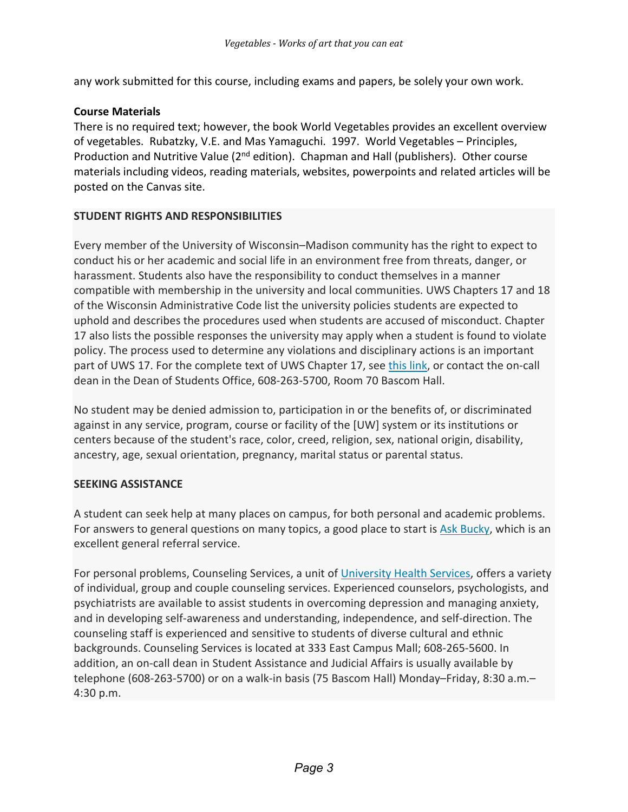any work submitted for this course, including exams and papers, be solely your own work.

### **Course Materials**

There is no required text; however, the book World Vegetables provides an excellent overview of vegetables. Rubatzky, V.E. and Mas Yamaguchi. 1997. World Vegetables – Principles, Production and Nutritive Value ( $2<sup>nd</sup>$  edition). Chapman and Hall (publishers). Other course materials including videos, reading materials, websites, powerpoints and related articles will be posted on the Canvas site.

## **STUDENT RIGHTS AND RESPONSIBILITIES**

Every member of the University of Wisconsin–Madison community has the right to expect to conduct his or her academic and social life in an environment free from threats, danger, or harassment. Students also have the responsibility to conduct themselves in a manner compatible with membership in the university and local communities. UWS Chapters 17 and 18 of the Wisconsin Administrative Code list the university policies students are expected to uphold and describes the procedures used when students are accused of misconduct. Chapter 17 also lists the possible responses the university may apply when a student is found to violate policy. The process used to determine any violations and disciplinary actions is an important part of UWS 17. For the complete text of UWS Chapter 17, see this [link,](https://students.wisc.edu/student-conduct/nonacademic-misconduct/) or contact the on-call dean in the Dean of Students Office, 608-263-5700, Room 70 Bascom Hall.

No student may be denied admission to, participation in or the benefits of, or discriminated against in any service, program, course or facility of the [UW] system or its institutions or centers because of the student's race, color, creed, religion, sex, national origin, disability, ancestry, age, sexual orientation, pregnancy, marital status or parental status.

#### **SEEKING ASSISTANCE**

A student can seek help at many places on campus, for both personal and academic problems. For answers to general questions on many topics, a good place to start is Ask [Bucky,](https://info.wisc.edu/ask-bucky/) which is an excellent general referral service.

For personal problems, Counseling Services, a unit of [University](http://www.uhs.wisc.edu/) Health Services, offers a variety of individual, group and couple counseling services. Experienced counselors, psychologists, and psychiatrists are available to assist students in overcoming depression and managing anxiety, and in developing self-awareness and understanding, independence, and self-direction. The counseling staff is experienced and sensitive to students of diverse cultural and ethnic backgrounds. Counseling Services is located at 333 East Campus Mall; 608-265-5600. In addition, an on-call dean in Student Assistance and Judicial Affairs is usually available by telephone (608-263-5700) or on a walk-in basis (75 Bascom Hall) Monday–Friday, 8:30 a.m.– 4:30 p.m.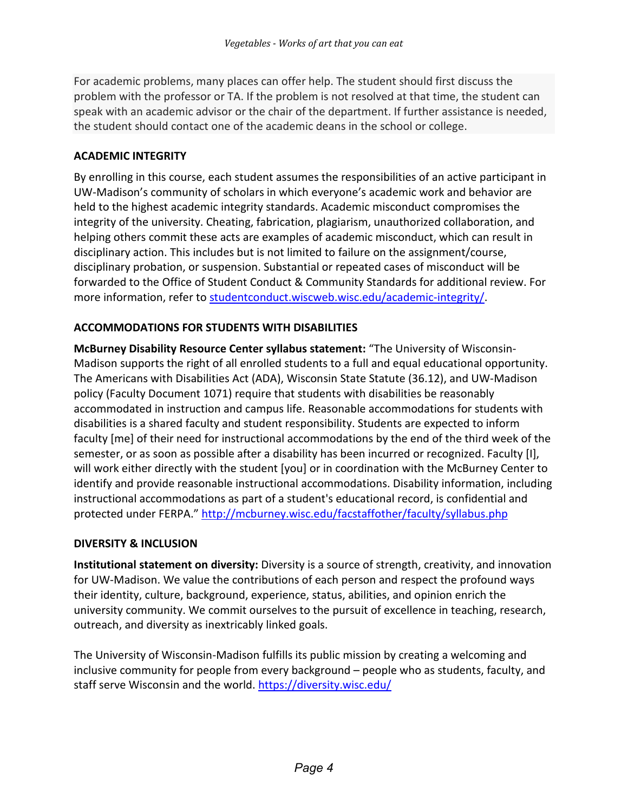For academic problems, many places can offer help. The student should first discuss the problem with the professor or TA. If the problem is not resolved at that time, the student can speak with an academic advisor or the chair of the department. If further assistance is needed, the student should contact one of the academic deans in the school or college.

## **ACADEMIC INTEGRITY**

By enrolling in this course, each student assumes the responsibilities of an active participant in UW-Madison's community of scholars in which everyone's academic work and behavior are held to the highest academic integrity standards. Academic misconduct compromises the integrity of the university. Cheating, fabrication, plagiarism, unauthorized collaboration, and helping others commit these acts are examples of academic misconduct, which can result in disciplinary action. This includes but is not limited to failure on the assignment/course, disciplinary probation, or suspension. Substantial or repeated cases of misconduct will be forwarded to the Office of Student Conduct & Community Standards for additional review. For more information, refer to studentconduct.wiscweb.wisc.edu/academic-integrity/.

# **ACCOMMODATIONS FOR STUDENTS WITH DISABILITIES**

**McBurney Disability Resource Center syllabus statement:** "The University of Wisconsin-Madison supports the right of all enrolled students to a full and equal educational opportunity. The Americans with Disabilities Act (ADA), Wisconsin State Statute (36.12), and UW-Madison policy (Faculty Document 1071) require that students with disabilities be reasonably accommodated in instruction and campus life. Reasonable accommodations for students with disabilities is a shared faculty and student responsibility. Students are expected to inform faculty [me] of their need for instructional accommodations by the end of the third week of the semester, or as soon as possible after a disability has been incurred or recognized. Faculty [I], will work either directly with the student [you] or in coordination with the McBurney Center to identify and provide reasonable instructional accommodations. Disability information, including instructional accommodations as part of a student's educational record, is confidential and protected under FERPA."<http://mcburney.wisc.edu/facstaffother/faculty/syllabus.php>

# **DIVERSITY & INCLUSION**

**Institutional statement on diversity:** Diversity is a source of strength, creativity, and innovation for UW-Madison. We value the contributions of each person and respect the profound ways their identity, culture, background, experience, status, abilities, and opinion enrich the university community. We commit ourselves to the pursuit of excellence in teaching, research, outreach, and diversity as inextricably linked goals.

The University of Wisconsin-Madison fulfills its public mission by creating a welcoming and inclusive community for people from every background – people who as students, faculty, and staff serve Wisconsin and the world. <https://diversity.wisc.edu/>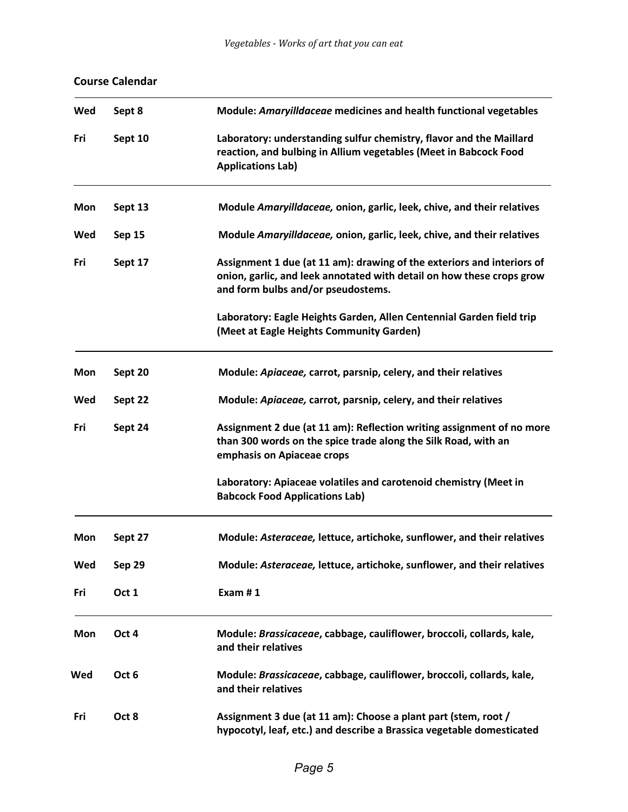| Wed | Sept 8           | Module: Amaryilldaceae medicines and health functional vegetables                                                                                                                     |
|-----|------------------|---------------------------------------------------------------------------------------------------------------------------------------------------------------------------------------|
| Fri | Sept 10          | Laboratory: understanding sulfur chemistry, flavor and the Maillard<br>reaction, and bulbing in Allium vegetables (Meet in Babcock Food<br><b>Applications Lab)</b>                   |
| Mon | Sept 13          | Module Amaryilldaceae, onion, garlic, leek, chive, and their relatives                                                                                                                |
| Wed | Sep 15           | Module Amaryilldaceae, onion, garlic, leek, chive, and their relatives                                                                                                                |
| Fri | Sept 17          | Assignment 1 due (at 11 am): drawing of the exteriors and interiors of<br>onion, garlic, and leek annotated with detail on how these crops grow<br>and form bulbs and/or pseudostems. |
|     |                  | Laboratory: Eagle Heights Garden, Allen Centennial Garden field trip<br>(Meet at Eagle Heights Community Garden)                                                                      |
| Mon | Sept 20          | Module: Apiaceae, carrot, parsnip, celery, and their relatives                                                                                                                        |
| Wed | Sept 22          | Module: Apiaceae, carrot, parsnip, celery, and their relatives                                                                                                                        |
| Fri | Sept 24          | Assignment 2 due (at 11 am): Reflection writing assignment of no more<br>than 300 words on the spice trade along the Silk Road, with an<br>emphasis on Apiaceae crops                 |
|     |                  | Laboratory: Apiaceae volatiles and carotenoid chemistry (Meet in<br><b>Babcock Food Applications Lab)</b>                                                                             |
| Mon | Sept 27          | Module: Asteraceae, lettuce, artichoke, sunflower, and their relatives                                                                                                                |
| Wed | Sep 29           | Module: Asteraceae, lettuce, artichoke, sunflower, and their relatives                                                                                                                |
| Fri | Oct 1            | Exam #1                                                                                                                                                                               |
| Mon | Oct 4            | Module: Brassicaceae, cabbage, cauliflower, broccoli, collards, kale,<br>and their relatives                                                                                          |
| Wed | Oct <sub>6</sub> | Module: Brassicaceae, cabbage, cauliflower, broccoli, collards, kale,<br>and their relatives                                                                                          |
| Fri | Oct 8            | Assignment 3 due (at 11 am): Choose a plant part (stem, root /<br>hypocotyl, leaf, etc.) and describe a Brassica vegetable domesticated                                               |

# **Course Calendar**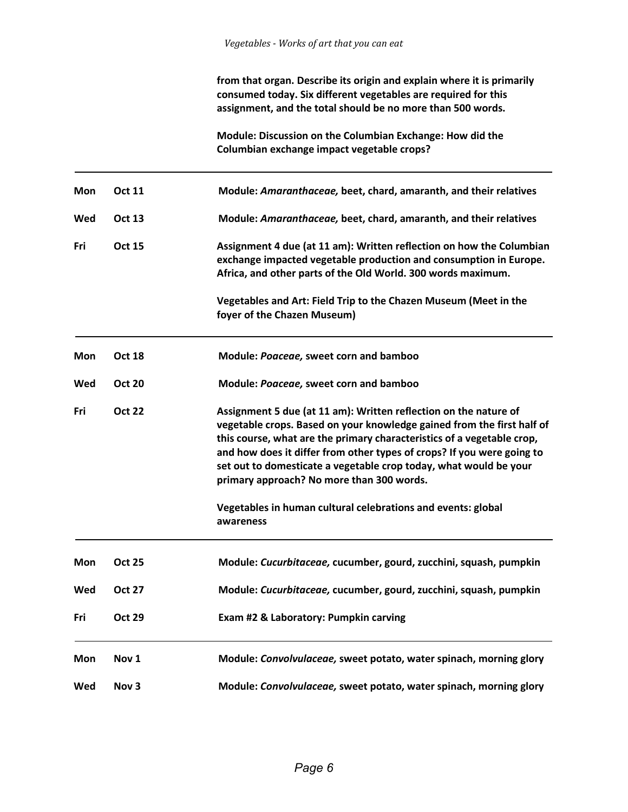**from that organ. Describe its origin and explain where it is primarily consumed today. Six different vegetables are required for this assignment, and the total should be no more than 500 words.**

**Module: Discussion on the Columbian Exchange: How did the Columbian exchange impact vegetable crops?** 

| Mon        | <b>Oct 11</b>    | Module: Amaranthaceae, beet, chard, amaranth, and their relatives                                                                                                                                                                                                                                                                                                                                                |
|------------|------------------|------------------------------------------------------------------------------------------------------------------------------------------------------------------------------------------------------------------------------------------------------------------------------------------------------------------------------------------------------------------------------------------------------------------|
| Wed        | <b>Oct 13</b>    | Module: Amaranthaceae, beet, chard, amaranth, and their relatives                                                                                                                                                                                                                                                                                                                                                |
| Fri        | <b>Oct 15</b>    | Assignment 4 due (at 11 am): Written reflection on how the Columbian<br>exchange impacted vegetable production and consumption in Europe.<br>Africa, and other parts of the Old World. 300 words maximum.                                                                                                                                                                                                        |
|            |                  | Vegetables and Art: Field Trip to the Chazen Museum (Meet in the<br>foyer of the Chazen Museum)                                                                                                                                                                                                                                                                                                                  |
| Mon        | <b>Oct 18</b>    | Module: Poaceae, sweet corn and bamboo                                                                                                                                                                                                                                                                                                                                                                           |
| Wed        | <b>Oct 20</b>    | Module: Poaceae, sweet corn and bamboo                                                                                                                                                                                                                                                                                                                                                                           |
| Fri        | <b>Oct 22</b>    | Assignment 5 due (at 11 am): Written reflection on the nature of<br>vegetable crops. Based on your knowledge gained from the first half of<br>this course, what are the primary characteristics of a vegetable crop,<br>and how does it differ from other types of crops? If you were going to<br>set out to domesticate a vegetable crop today, what would be your<br>primary approach? No more than 300 words. |
|            |                  | Vegetables in human cultural celebrations and events: global<br>awareness                                                                                                                                                                                                                                                                                                                                        |
| Mon        | <b>Oct 25</b>    | Module: Cucurbitaceae, cucumber, gourd, zucchini, squash, pumpkin                                                                                                                                                                                                                                                                                                                                                |
| Wed        | <b>Oct 27</b>    | Module: Cucurbitaceae, cucumber, gourd, zucchini, squash, pumpkin                                                                                                                                                                                                                                                                                                                                                |
| Fri        | <b>Oct 29</b>    | Exam #2 & Laboratory: Pumpkin carving                                                                                                                                                                                                                                                                                                                                                                            |
| <b>Mon</b> | Nov 1            | Module: Convolvulaceae, sweet potato, water spinach, morning glory                                                                                                                                                                                                                                                                                                                                               |
| Wed        | Nov <sub>3</sub> | Module: Convolvulaceae, sweet potato, water spinach, morning glory                                                                                                                                                                                                                                                                                                                                               |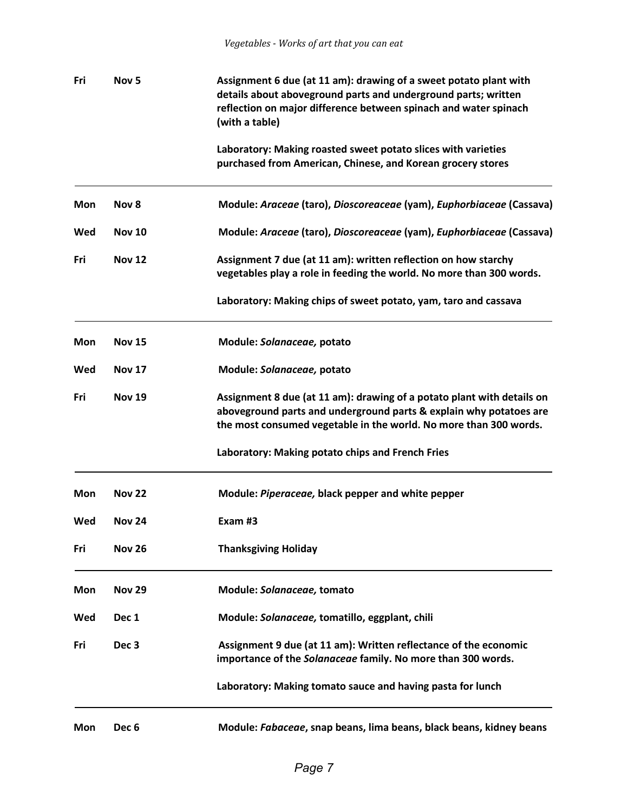| Fri | Nov <sub>5</sub> | Assignment 6 due (at 11 am): drawing of a sweet potato plant with<br>details about aboveground parts and underground parts; written<br>reflection on major difference between spinach and water spinach<br>(with a table) |  |
|-----|------------------|---------------------------------------------------------------------------------------------------------------------------------------------------------------------------------------------------------------------------|--|
|     |                  | Laboratory: Making roasted sweet potato slices with varieties<br>purchased from American, Chinese, and Korean grocery stores                                                                                              |  |
| Mon | Nov 8            | Module: Araceae (taro), Dioscoreaceae (yam), Euphorbiaceae (Cassava)                                                                                                                                                      |  |
| Wed | <b>Nov 10</b>    | Module: Araceae (taro), Dioscoreaceae (yam), Euphorbiaceae (Cassava)                                                                                                                                                      |  |
| Fri | <b>Nov 12</b>    | Assignment 7 due (at 11 am): written reflection on how starchy<br>vegetables play a role in feeding the world. No more than 300 words.                                                                                    |  |
|     |                  | Laboratory: Making chips of sweet potato, yam, taro and cassava                                                                                                                                                           |  |
| Mon | <b>Nov 15</b>    | Module: Solanaceae, potato                                                                                                                                                                                                |  |
| Wed | <b>Nov 17</b>    | Module: Solanaceae, potato                                                                                                                                                                                                |  |
| Fri | <b>Nov 19</b>    | Assignment 8 due (at 11 am): drawing of a potato plant with details on<br>aboveground parts and underground parts & explain why potatoes are<br>the most consumed vegetable in the world. No more than 300 words.         |  |
|     |                  | Laboratory: Making potato chips and French Fries                                                                                                                                                                          |  |
| Mon | <b>Nov 22</b>    | Module: Piperaceae, black pepper and white pepper                                                                                                                                                                         |  |
| Wed | <b>Nov 24</b>    | Exam #3                                                                                                                                                                                                                   |  |
| Fri | <b>Nov 26</b>    | <b>Thanksgiving Holiday</b>                                                                                                                                                                                               |  |
| Mon | <b>Nov 29</b>    | Module: Solanaceae, tomato                                                                                                                                                                                                |  |
| Wed | Dec 1            | Module: Solanaceae, tomatillo, eggplant, chili                                                                                                                                                                            |  |
| Fri | Dec <sub>3</sub> | Assignment 9 due (at 11 am): Written reflectance of the economic<br>importance of the Solanaceae family. No more than 300 words.                                                                                          |  |
|     |                  | Laboratory: Making tomato sauce and having pasta for lunch                                                                                                                                                                |  |
| Mon | Dec <sub>6</sub> | Module: Fabaceae, snap beans, lima beans, black beans, kidney beans                                                                                                                                                       |  |